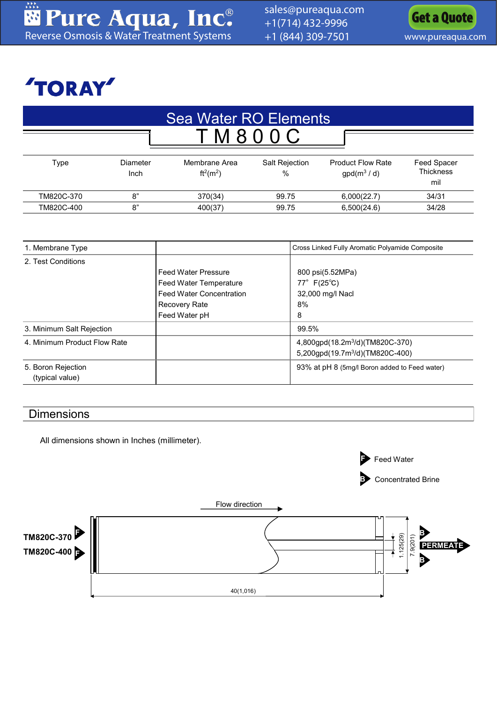

## **TORAY**

| Sea Water RO Elements |                  |                              |                        |                                          |                                        |  |  |
|-----------------------|------------------|------------------------------|------------------------|------------------------------------------|----------------------------------------|--|--|
|                       |                  |                              |                        |                                          |                                        |  |  |
| Type                  | Diameter<br>Inch | Membrane Area<br>$ft^2(m^2)$ | Salt Rejection<br>$\%$ | <b>Product Flow Rate</b><br>$gpd(m^3/d)$ | Feed Spacer<br><b>Thickness</b><br>mil |  |  |
| TM820C-370            | 8"               | 370(34)                      | 99.75                  | 6,000(22.7)                              | 34/31                                  |  |  |
| TM820C-400            | 8"               | 400(37)                      | 99.75                  | 6,500(24.6)                              | 34/28                                  |  |  |

| 1. Membrane Type                      |                                                                                         | Cross Linked Fully Aromatic Polyamide Composite                                            |
|---------------------------------------|-----------------------------------------------------------------------------------------|--------------------------------------------------------------------------------------------|
| 2. Test Conditions                    | <b>Feed Water Pressure</b><br>Feed Water Temperature<br><b>Feed Water Concentration</b> | 800 psi(5.52MPa)<br>77° $F(25^{\circ}C)$<br>32,000 mg/l Nacl                               |
|                                       | Recovery Rate<br>Feed Water pH                                                          | 8%<br>8                                                                                    |
| 3. Minimum Salt Rejection             |                                                                                         | 99.5%                                                                                      |
| 4. Minimum Product Flow Rate          |                                                                                         | 4,800gpd(18.2m <sup>3</sup> /d)(TM820C-370)<br>5,200gpd(19.7m <sup>3</sup> /d)(TM820C-400) |
| 5. Boron Rejection<br>(typical value) |                                                                                         | 93% at pH 8 (5mg/l Boron added to Feed water)                                              |

## Dimensions

All dimensions shown in Inches (millimeter).